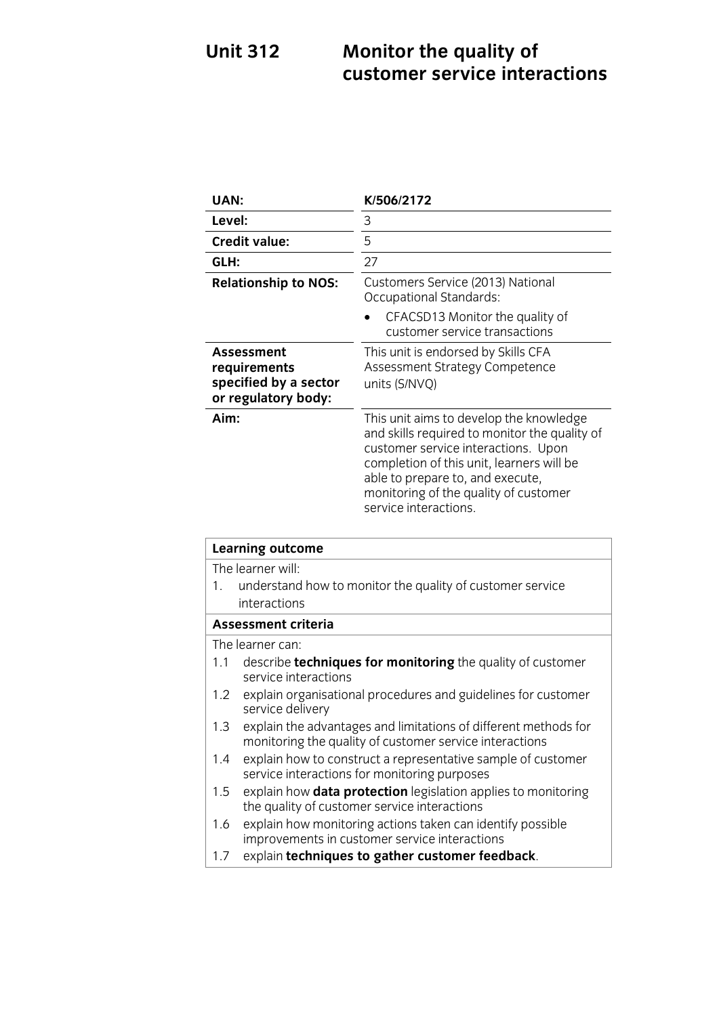### **Unit 312 Monitor the quality of <b>Monitor customer service interactions**

| UAN:                                                                              | K/506/2172                                                                                                                                                                                                                                                                         |
|-----------------------------------------------------------------------------------|------------------------------------------------------------------------------------------------------------------------------------------------------------------------------------------------------------------------------------------------------------------------------------|
| Level:                                                                            | 3                                                                                                                                                                                                                                                                                  |
| <b>Credit value:</b>                                                              | 5                                                                                                                                                                                                                                                                                  |
| GLH:                                                                              | 27                                                                                                                                                                                                                                                                                 |
| <b>Relationship to NOS:</b>                                                       | Customers Service (2013) National<br>Occupational Standards:                                                                                                                                                                                                                       |
|                                                                                   | CFACSD13 Monitor the quality of<br>customer service transactions                                                                                                                                                                                                                   |
| <b>Assessment</b><br>requirements<br>specified by a sector<br>or regulatory body: | This unit is endorsed by Skills CFA<br>Assessment Strategy Competence<br>units (S/NVQ)                                                                                                                                                                                             |
| Aim:                                                                              | This unit aims to develop the knowledge<br>and skills required to monitor the quality of<br>customer service interactions. Upon<br>completion of this unit, learners will be<br>able to prepare to, and execute,<br>monitoring of the quality of customer<br>service interactions. |

| <b>Learning outcome</b>    |                                                                                                                            |
|----------------------------|----------------------------------------------------------------------------------------------------------------------------|
| The learner will:          |                                                                                                                            |
| 1.                         | understand how to monitor the quality of customer service                                                                  |
|                            | interactions                                                                                                               |
| <b>Assessment criteria</b> |                                                                                                                            |
|                            | The learner can:                                                                                                           |
| 1.1                        | describe <b>techniques for monitoring</b> the quality of customer<br>service interactions                                  |
| 1.2                        | explain organisational procedures and guidelines for customer<br>service delivery                                          |
| 1.3                        | explain the advantages and limitations of different methods for<br>monitoring the quality of customer service interactions |
| $1.4^{\circ}$              | explain how to construct a representative sample of customer<br>service interactions for monitoring purposes               |
| $1.5\,$                    | explain how <b>data protection</b> legislation applies to monitoring<br>the quality of customer service interactions       |
| 1.6                        | explain how monitoring actions taken can identify possible<br>improvements in customer service interactions                |
| 1.7                        | explain techniques to gather customer feedback.                                                                            |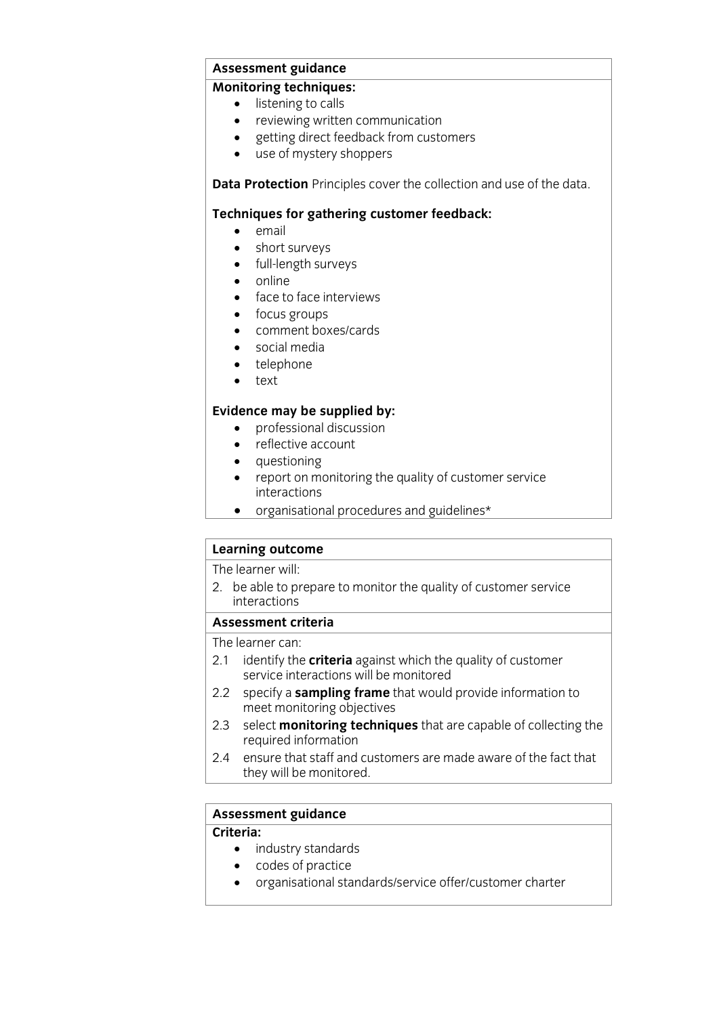### **Assessment guidance**

- listening to calls
	- reviewing written communication<br>• oetting direct feedback from custo
	- getting direct feedback from customers<br>• use of mystery shoppers
	- use of mystery shoppers

**Data Protection** Principles cover the collection and use of the data.

### **Techniques for gathering customer feedback:**<br>
• email

- email<br>• short
- short surveys
- full-length surveys
- $\bullet$  online
- face to face interviews
- focus groups
- comment boxes/cards
- social media
- telephone
- text

- **Existence may** be supplied by:<br> **e** professional discussion
	- reflective account
	- questioning
	- report on monitoring the quality of customer service
	- organisational procedures and guidelines\*

# **Learning outcome**<br>The learner will:

The learner will<br>2 bo ablo to be  $\frac{1}{2}$  be able to prepare to monotor the quality of customer services  $\frac{1}{2}$ interactions<br>Assessment criteria

The learner can:

- 2.1 identify the **criteria** against which the quality of customer service interactions will be monitored
- 2.2 specify a **sampling frame** that would provide information to meet monitoring objectives
- 2.3 select **monitoring techniques** that are capable of collecting the required information
- ensure that staff and customers are made aware of the fact that 2.4 ensure that staff and cu<br>they will be monitored.  $\frac{1}{\sqrt{2}}$  will be monitored.

## **Assessment guidance**

- industry standards
	- codes of practice
	- organisational standards/service offer/customer charter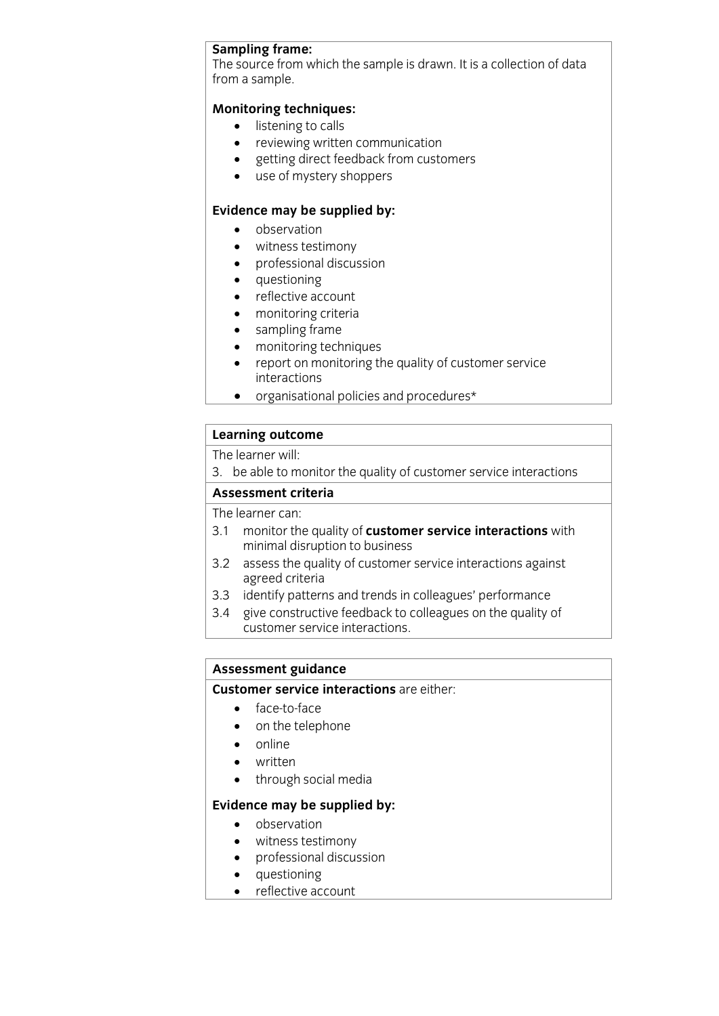**Sampling frame:**<br>The source from which the sample is drawn. It is a collection of data  $T_{\text{nom}}$  a sample from a sample.

- listening to calls
	- reviewing written communication
	- getting direct feedback from customers
	- use of mystery shoppers

- **Evidence** may be supplied by:
	- witness testimony
	- professional discussion
	- questioning
	- reflective account
	- monitoring criteria
	- sampling frame
	- monitoring techniques<br>• report on monitoring the
	- report on monitoring the quality of customer service
	- organisational policies and procedures\*

# **Learning outcome**<br>The learner will:

The learner will<br>3 bo ablo to m  $\frac{1}{2}$ . because the total to monitor the quality of customer service interactions interactions.

## **Assessment criteria**<br>The learner can:

- 3.1 monitor the quality of customer service interactions with minimal disruption to business
- 3.2 assess the quality of customer service interactions against agreed criteria
- 3.3 identify patterns and trends in colleagues' performance
- 3.4 give constructive feedback to colleagues on the quality of customer service interactions. customer service interactions.

# **Assessment guidance<br>Customer service interactions** are either:

- **Customer service**<br> **Customer:**<br> **Customer:** 
	- on the telephone
	- online
	- written
	- through social media

- **Existence may be supplied by:**<br> **o** observation
	- witness testimony
	- professional discussion
	- questioning
	- reflective account